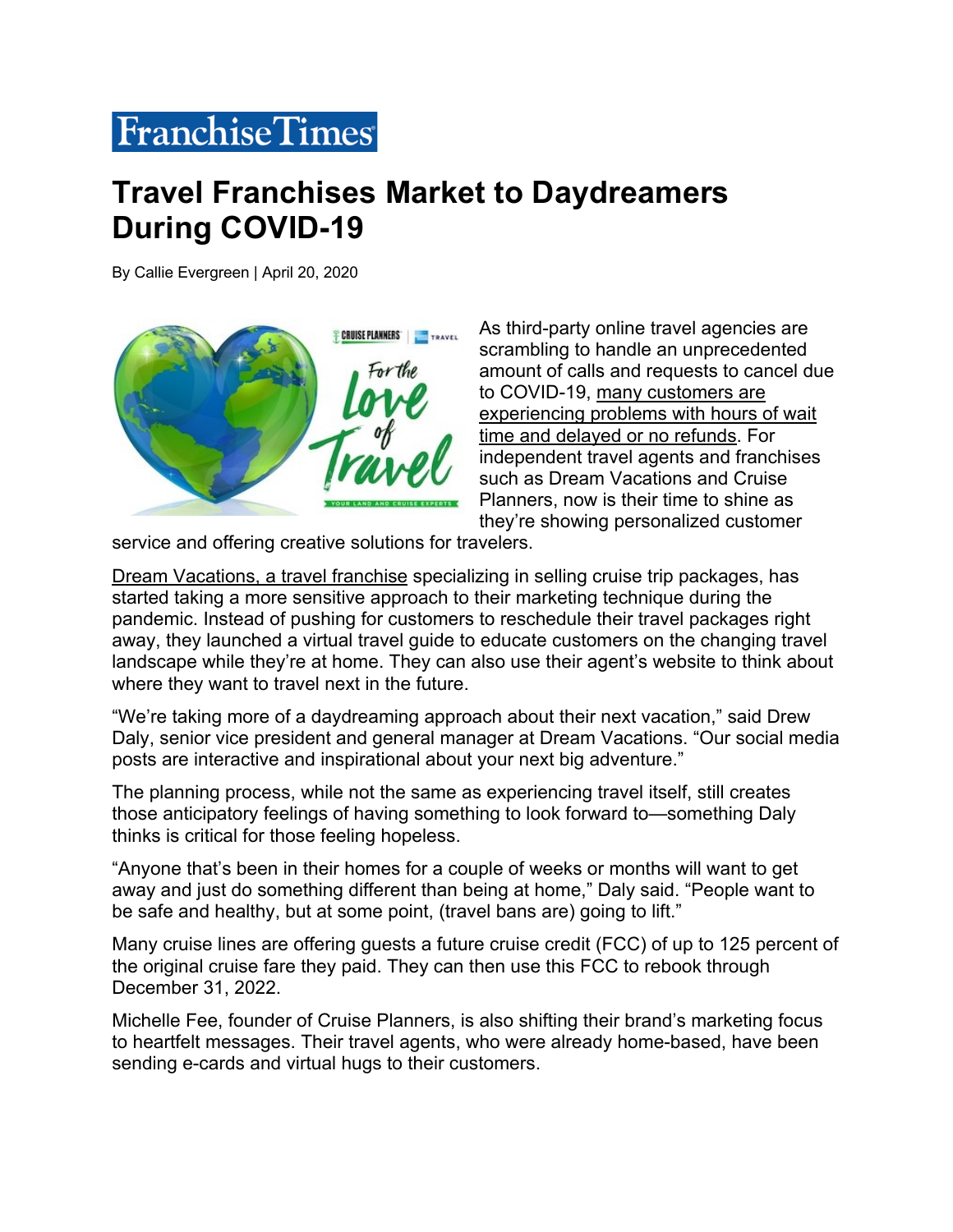## **FranchiseTimes**

## **Travel Franchises Market to Daydreamers During COVID-19**

By Callie Evergreen | April 20, 2020



As third-party online travel agencies are scrambling to handle an unprecedented amount of calls and requests to cancel due to COVID-19, many customers are experiencing problems with hours of wait time and delayed or no refunds. For independent travel agents and franchises such as Dream Vacations and Cruise Planners, now is their time to shine as they're showing personalized customer

service and offering creative solutions for travelers.

Dream Vacations, a travel franchise specializing in selling cruise trip packages, has started taking a more sensitive approach to their marketing technique during the pandemic. Instead of pushing for customers to reschedule their travel packages right away, they launched a virtual travel guide to educate customers on the changing travel landscape while they're at home. They can also use their agent's website to think about where they want to travel next in the future.

"We're taking more of a daydreaming approach about their next vacation," said Drew Daly, senior vice president and general manager at Dream Vacations. "Our social media posts are interactive and inspirational about your next big adventure."

The planning process, while not the same as experiencing travel itself, still creates those anticipatory feelings of having something to look forward to—something Daly thinks is critical for those feeling hopeless.

"Anyone that's been in their homes for a couple of weeks or months will want to get away and just do something different than being at home," Daly said. "People want to be safe and healthy, but at some point, (travel bans are) going to lift."

Many cruise lines are offering guests a future cruise credit (FCC) of up to 125 percent of the original cruise fare they paid. They can then use this FCC to rebook through December 31, 2022.

Michelle Fee, founder of Cruise Planners, is also shifting their brand's marketing focus to heartfelt messages. Their travel agents, who were already home-based, have been sending e-cards and virtual hugs to their customers.